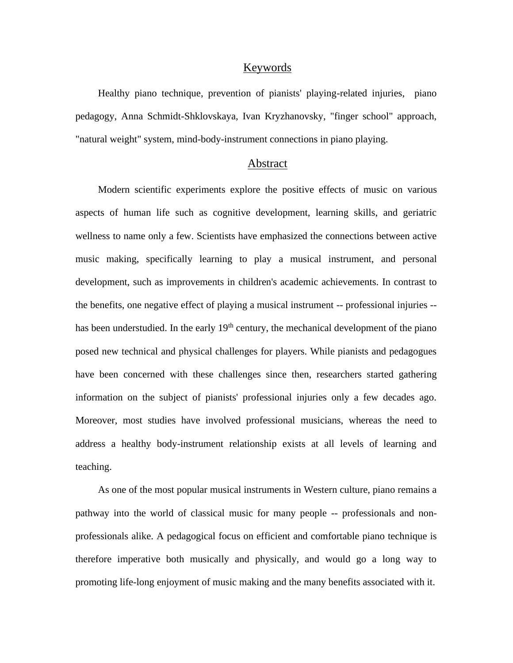## Keywords

Healthy piano technique, prevention of pianists' playing-related injuries, piano pedagogy, Anna Schmidt-Shklovskaya, Ivan Kryzhanovsky, "finger school" approach, "natural weight" system, mind-body-instrument connections in piano playing.

## Abstract

Modern scientific experiments explore the positive effects of music on various aspects of human life such as cognitive development, learning skills, and geriatric wellness to name only a few. Scientists have emphasized the connections between active music making, specifically learning to play a musical instrument, and personal development, such as improvements in children's academic achievements. In contrast to the benefits, one negative effect of playing a musical instrument -- professional injuries - has been understudied. In the early  $19<sup>th</sup>$  century, the mechanical development of the piano posed new technical and physical challenges for players. While pianists and pedagogues have been concerned with these challenges since then, researchers started gathering information on the subject of pianists' professional injuries only a few decades ago. Moreover, most studies have involved professional musicians, whereas the need to address a healthy body-instrument relationship exists at all levels of learning and teaching.

As one of the most popular musical instruments in Western culture, piano remains a pathway into the world of classical music for many people -- professionals and nonprofessionals alike. A pedagogical focus on efficient and comfortable piano technique is therefore imperative both musically and physically, and would go a long way to promoting life-long enjoyment of music making and the many benefits associated with it.